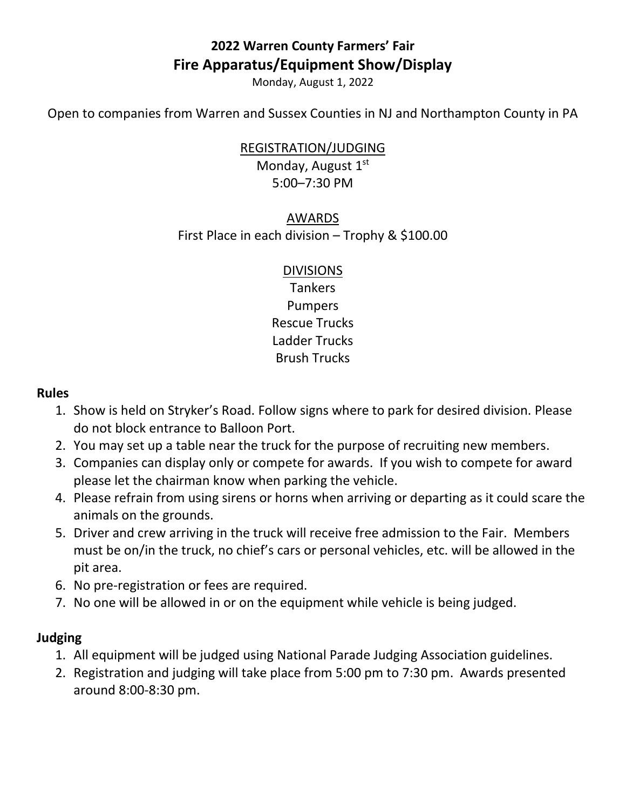# **2022 Warren County Farmers' Fair Fire Apparatus/Equipment Show/Display**

Monday, August 1, 2022

Open to companies from Warren and Sussex Counties in NJ and Northampton County in PA

#### REGISTRATION/JUDGING

Monday, August 1st 5:00–7:30 PM

## AWARDS First Place in each division – Trophy & \$100.00

#### DIVISIONS

Tankers Pumpers Rescue Trucks Ladder Trucks Brush Trucks

#### **Rules**

- 1. Show is held on Stryker's Road. Follow signs where to park for desired division. Please do not block entrance to Balloon Port.
- 2. You may set up a table near the truck for the purpose of recruiting new members.
- 3. Companies can display only or compete for awards. If you wish to compete for award please let the chairman know when parking the vehicle.
- 4. Please refrain from using sirens or horns when arriving or departing as it could scare the animals on the grounds.
- 5. Driver and crew arriving in the truck will receive free admission to the Fair. Members must be on/in the truck, no chief's cars or personal vehicles, etc. will be allowed in the pit area.
- 6. No pre-registration or fees are required.
- 7. No one will be allowed in or on the equipment while vehicle is being judged.

### **Judging**

- 1. All equipment will be judged using National Parade Judging Association guidelines.
- 2. Registration and judging will take place from 5:00 pm to 7:30 pm. Awards presented around 8:00-8:30 pm.